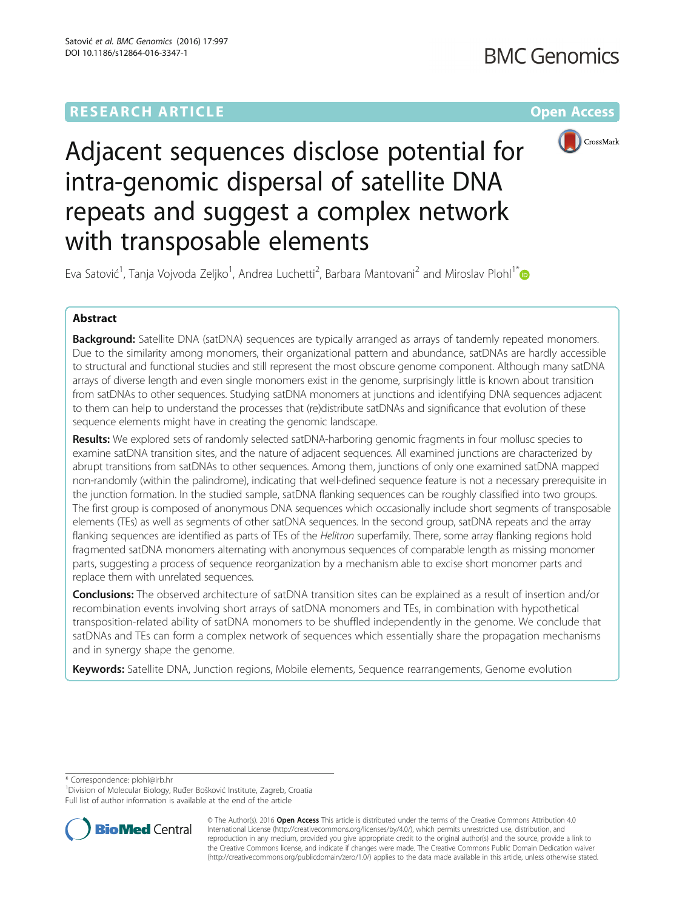# **RESEARCH ARTICLE Example 2014 12:30 The Company Access** (RESEARCH ARTICLE



Adjacent sequences disclose potential for intra-genomic dispersal of satellite DNA repeats and suggest a complex network with transposable elements

Eva Satović<sup>1</sup>, Tanja Vojvoda Zeljko<sup>1</sup>, Andrea Luchetti<sup>2</sup>, Barbara Mantovani<sup>2</sup> and Miroslav Plohl<sup>1\*</sup>

# Abstract

**Background:** Satellite DNA (satDNA) sequences are typically arranged as arrays of tandemly repeated monomers. Due to the similarity among monomers, their organizational pattern and abundance, satDNAs are hardly accessible to structural and functional studies and still represent the most obscure genome component. Although many satDNA arrays of diverse length and even single monomers exist in the genome, surprisingly little is known about transition from satDNAs to other sequences. Studying satDNA monomers at junctions and identifying DNA sequences adjacent to them can help to understand the processes that (re)distribute satDNAs and significance that evolution of these sequence elements might have in creating the genomic landscape.

Results: We explored sets of randomly selected satDNA-harboring genomic fragments in four mollusc species to examine satDNA transition sites, and the nature of adjacent sequences. All examined junctions are characterized by abrupt transitions from satDNAs to other sequences. Among them, junctions of only one examined satDNA mapped non-randomly (within the palindrome), indicating that well-defined sequence feature is not a necessary prerequisite in the junction formation. In the studied sample, satDNA flanking sequences can be roughly classified into two groups. The first group is composed of anonymous DNA sequences which occasionally include short segments of transposable elements (TEs) as well as segments of other satDNA sequences. In the second group, satDNA repeats and the array flanking sequences are identified as parts of TEs of the Helitron superfamily. There, some array flanking regions hold fragmented satDNA monomers alternating with anonymous sequences of comparable length as missing monomer parts, suggesting a process of sequence reorganization by a mechanism able to excise short monomer parts and replace them with unrelated sequences.

Conclusions: The observed architecture of satDNA transition sites can be explained as a result of insertion and/or recombination events involving short arrays of satDNA monomers and TEs, in combination with hypothetical transposition-related ability of satDNA monomers to be shuffled independently in the genome. We conclude that satDNAs and TEs can form a complex network of sequences which essentially share the propagation mechanisms and in synergy shape the genome.

Keywords: Satellite DNA, Junction regions, Mobile elements, Sequence rearrangements, Genome evolution

\* Correspondence: [plohl@irb.hr](mailto:plohl@irb.hr) <sup>1</sup>

<sup>1</sup> Division of Molecular Biology, Ruđer Bošković Institute, Zagreb, Croatia Full list of author information is available at the end of the article



© The Author(s). 2016 Open Access This article is distributed under the terms of the Creative Commons Attribution 4.0 International License [\(http://creativecommons.org/licenses/by/4.0/](http://creativecommons.org/licenses/by/4.0/)), which permits unrestricted use, distribution, and reproduction in any medium, provided you give appropriate credit to the original author(s) and the source, provide a link to the Creative Commons license, and indicate if changes were made. The Creative Commons Public Domain Dedication waiver [\(http://creativecommons.org/publicdomain/zero/1.0/](http://creativecommons.org/publicdomain/zero/1.0/)) applies to the data made available in this article, unless otherwise stated.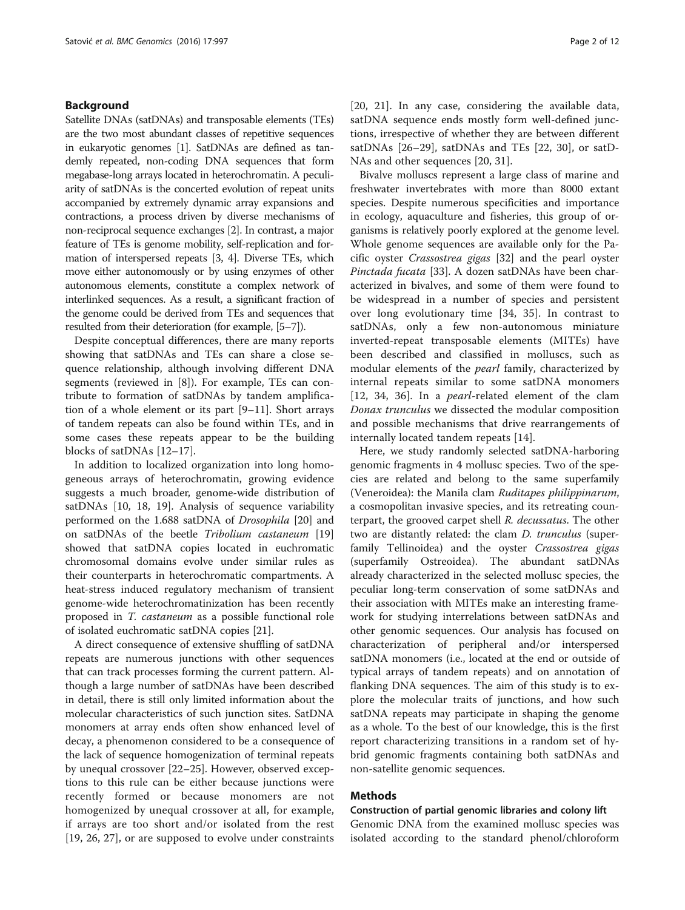# Background

Satellite DNAs (satDNAs) and transposable elements (TEs) are the two most abundant classes of repetitive sequences in eukaryotic genomes [\[1](#page-10-0)]. SatDNAs are defined as tandemly repeated, non-coding DNA sequences that form megabase-long arrays located in heterochromatin. A peculiarity of satDNAs is the concerted evolution of repeat units accompanied by extremely dynamic array expansions and contractions, a process driven by diverse mechanisms of non-reciprocal sequence exchanges [[2](#page-10-0)]. In contrast, a major feature of TEs is genome mobility, self-replication and formation of interspersed repeats [\[3](#page-10-0), [4](#page-10-0)]. Diverse TEs, which move either autonomously or by using enzymes of other autonomous elements, constitute a complex network of interlinked sequences. As a result, a significant fraction of the genome could be derived from TEs and sequences that resulted from their deterioration (for example, [\[5](#page-10-0)–[7](#page-10-0)]).

Despite conceptual differences, there are many reports showing that satDNAs and TEs can share a close sequence relationship, although involving different DNA segments (reviewed in [[8\]](#page-10-0)). For example, TEs can contribute to formation of satDNAs by tandem amplification of a whole element or its part [\[9](#page-11-0)–[11](#page-11-0)]. Short arrays of tandem repeats can also be found within TEs, and in some cases these repeats appear to be the building blocks of satDNAs [\[12](#page-11-0)–[17](#page-11-0)].

In addition to localized organization into long homogeneous arrays of heterochromatin, growing evidence suggests a much broader, genome-wide distribution of satDNAs [[10, 18, 19\]](#page-11-0). Analysis of sequence variability performed on the 1.688 satDNA of Drosophila [[20\]](#page-11-0) and on satDNAs of the beetle Tribolium castaneum [[19](#page-11-0)] showed that satDNA copies located in euchromatic chromosomal domains evolve under similar rules as their counterparts in heterochromatic compartments. A heat-stress induced regulatory mechanism of transient genome-wide heterochromatinization has been recently proposed in T. castaneum as a possible functional role of isolated euchromatic satDNA copies [[21\]](#page-11-0).

A direct consequence of extensive shuffling of satDNA repeats are numerous junctions with other sequences that can track processes forming the current pattern. Although a large number of satDNAs have been described in detail, there is still only limited information about the molecular characteristics of such junction sites. SatDNA monomers at array ends often show enhanced level of decay, a phenomenon considered to be a consequence of the lack of sequence homogenization of terminal repeats by unequal crossover [\[22](#page-11-0)–[25](#page-11-0)]. However, observed exceptions to this rule can be either because junctions were recently formed or because monomers are not homogenized by unequal crossover at all, for example, if arrays are too short and/or isolated from the rest [[19, 26, 27](#page-11-0)], or are supposed to evolve under constraints

[[20, 21\]](#page-11-0). In any case, considering the available data, satDNA sequence ends mostly form well-defined junctions, irrespective of whether they are between different satDNAs [\[26](#page-11-0)–[29\]](#page-11-0), satDNAs and TEs [[22, 30\]](#page-11-0), or satD-NAs and other sequences [[20, 31](#page-11-0)].

Bivalve molluscs represent a large class of marine and freshwater invertebrates with more than 8000 extant species. Despite numerous specificities and importance in ecology, aquaculture and fisheries, this group of organisms is relatively poorly explored at the genome level. Whole genome sequences are available only for the Pacific oyster Crassostrea gigas [\[32](#page-11-0)] and the pearl oyster Pinctada fucata [[33\]](#page-11-0). A dozen satDNAs have been characterized in bivalves, and some of them were found to be widespread in a number of species and persistent over long evolutionary time [[34](#page-11-0), [35](#page-11-0)]. In contrast to satDNAs, only a few non-autonomous miniature inverted-repeat transposable elements (MITEs) have been described and classified in molluscs, such as modular elements of the pearl family, characterized by internal repeats similar to some satDNA monomers [[12, 34, 36](#page-11-0)]. In a pearl-related element of the clam Donax trunculus we dissected the modular composition and possible mechanisms that drive rearrangements of internally located tandem repeats [\[14](#page-11-0)].

Here, we study randomly selected satDNA-harboring genomic fragments in 4 mollusc species. Two of the species are related and belong to the same superfamily (Veneroidea): the Manila clam Ruditapes philippinarum, a cosmopolitan invasive species, and its retreating counterpart, the grooved carpet shell R. decussatus. The other two are distantly related: the clam *D. trunculus* (superfamily Tellinoidea) and the oyster Crassostrea gigas (superfamily Ostreoidea). The abundant satDNAs already characterized in the selected mollusc species, the peculiar long-term conservation of some satDNAs and their association with MITEs make an interesting framework for studying interrelations between satDNAs and other genomic sequences. Our analysis has focused on characterization of peripheral and/or interspersed satDNA monomers (i.e., located at the end or outside of typical arrays of tandem repeats) and on annotation of flanking DNA sequences. The aim of this study is to explore the molecular traits of junctions, and how such satDNA repeats may participate in shaping the genome as a whole. To the best of our knowledge, this is the first report characterizing transitions in a random set of hybrid genomic fragments containing both satDNAs and non-satellite genomic sequences.

# Methods

Construction of partial genomic libraries and colony lift

Genomic DNA from the examined mollusc species was isolated according to the standard phenol/chloroform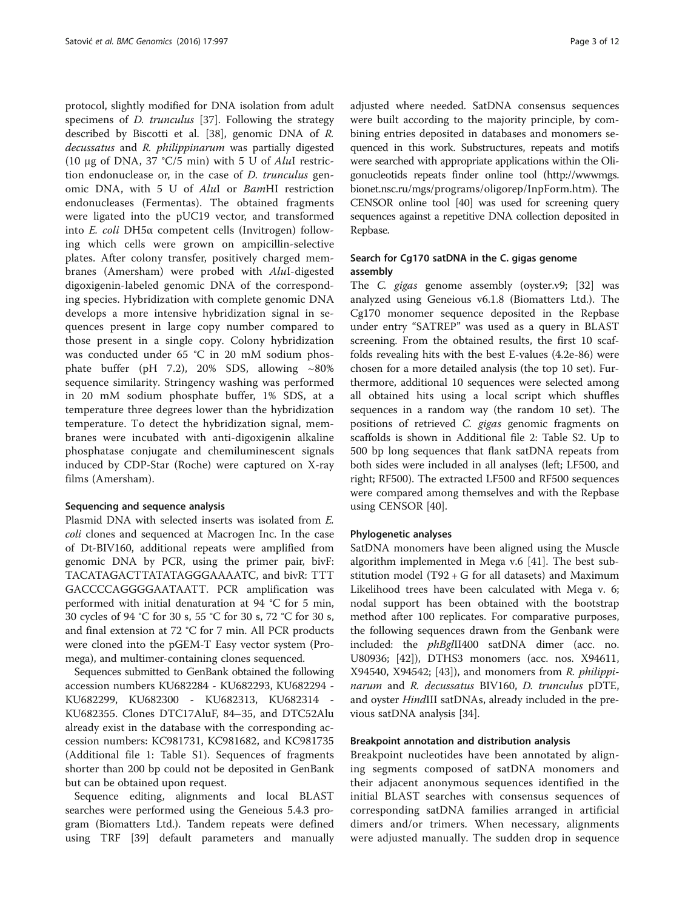protocol, slightly modified for DNA isolation from adult specimens of *D. trunculus* [[37\]](#page-11-0). Following the strategy described by Biscotti et al. [[38\]](#page-11-0), genomic DNA of R. decussatus and R. philippinarum was partially digested (10 μg of DNA, 37 °C/5 min) with 5 U of AluI restriction endonuclease or, in the case of D. trunculus genomic DNA, with 5 U of AluI or BamHI restriction endonucleases (Fermentas). The obtained fragments were ligated into the pUC19 vector, and transformed into E. coli DH5α competent cells (Invitrogen) following which cells were grown on ampicillin-selective plates. After colony transfer, positively charged membranes (Amersham) were probed with AluI-digested digoxigenin-labeled genomic DNA of the corresponding species. Hybridization with complete genomic DNA develops a more intensive hybridization signal in sequences present in large copy number compared to those present in a single copy. Colony hybridization was conducted under 65 °C in 20 mM sodium phosphate buffer (pH 7.2), 20% SDS, allowing ~80% sequence similarity. Stringency washing was performed in 20 mM sodium phosphate buffer, 1% SDS, at a temperature three degrees lower than the hybridization temperature. To detect the hybridization signal, membranes were incubated with anti-digoxigenin alkaline phosphatase conjugate and chemiluminescent signals induced by CDP-Star (Roche) were captured on X-ray films (Amersham).

#### Sequencing and sequence analysis

Plasmid DNA with selected inserts was isolated from E. coli clones and sequenced at Macrogen Inc. In the case of Dt-BIV160, additional repeats were amplified from genomic DNA by PCR, using the primer pair, bivF: TACATAGACTTATATAGGGAAAATC, and bivR: TTT GACCCCAGGGGAATAATT. PCR amplification was performed with initial denaturation at 94 °C for 5 min, 30 cycles of 94 °C for 30 s, 55 °C for 30 s, 72 °C for 30 s, and final extension at 72 °C for 7 min. All PCR products were cloned into the pGEM-T Easy vector system (Promega), and multimer-containing clones sequenced.

Sequences submitted to GenBank obtained the following accession numbers KU682284 - KU682293, KU682294 - KU682299, KU682300 - KU682313, KU682314 - KU682355. Clones DTC17AluF, 84–35, and DTC52Alu already exist in the database with the corresponding accession numbers: KC981731, KC981682, and KC981735 (Additional file [1:](#page-10-0) Table S1). Sequences of fragments shorter than 200 bp could not be deposited in GenBank but can be obtained upon request.

Sequence editing, alignments and local BLAST searches were performed using the Geneious 5.4.3 program (Biomatters Ltd.). Tandem repeats were defined using TRF [[39\]](#page-11-0) default parameters and manually adjusted where needed. SatDNA consensus sequences were built according to the majority principle, by combining entries deposited in databases and monomers sequenced in this work. Substructures, repeats and motifs were searched with appropriate applications within the Oligonucleotids repeats finder online tool ([http://wwwmgs.](http://wwwmgs.bionet.nsc.ru/mgs/programs/oligorep/InpForm.htm) [bionet.nsc.ru/mgs/programs/oligorep/InpForm.htm\)](http://wwwmgs.bionet.nsc.ru/mgs/programs/oligorep/InpForm.htm). The CENSOR online tool [\[40](#page-11-0)] was used for screening query sequences against a repetitive DNA collection deposited in Repbase.

# Search for Cg170 satDNA in the C. gigas genome assembly

The C. gigas genome assembly (oyster.v9; [[32\]](#page-11-0) was analyzed using Geneious v6.1.8 (Biomatters Ltd.). The Cg170 monomer sequence deposited in the Repbase under entry "SATREP" was used as a query in BLAST screening. From the obtained results, the first 10 scaffolds revealing hits with the best E-values (4.2e-86) were chosen for a more detailed analysis (the top 10 set). Furthermore, additional 10 sequences were selected among all obtained hits using a local script which shuffles sequences in a random way (the random 10 set). The positions of retrieved C. gigas genomic fragments on scaffolds is shown in Additional file [2](#page-10-0): Table S2. Up to 500 bp long sequences that flank satDNA repeats from both sides were included in all analyses (left; LF500, and right; RF500). The extracted LF500 and RF500 sequences were compared among themselves and with the Repbase using CENSOR [[40\]](#page-11-0).

#### Phylogenetic analyses

SatDNA monomers have been aligned using the Muscle algorithm implemented in Mega v.6 [[41\]](#page-11-0). The best substitution model (T92  $+$  G for all datasets) and Maximum Likelihood trees have been calculated with Mega v. 6; nodal support has been obtained with the bootstrap method after 100 replicates. For comparative purposes, the following sequences drawn from the Genbank were included: the phBglII400 satDNA dimer (acc. no. U80936; [[42](#page-11-0)]), DTHS3 monomers (acc. nos. X94611, X94540, X94542; [[43](#page-11-0)]), and monomers from R. philippinarum and R. decussatus BIV160, D. trunculus pDTE, and oyster *HindIII* satDNAs, already included in the previous satDNA analysis [\[34](#page-11-0)].

#### Breakpoint annotation and distribution analysis

Breakpoint nucleotides have been annotated by aligning segments composed of satDNA monomers and their adjacent anonymous sequences identified in the initial BLAST searches with consensus sequences of corresponding satDNA families arranged in artificial dimers and/or trimers. When necessary, alignments were adjusted manually. The sudden drop in sequence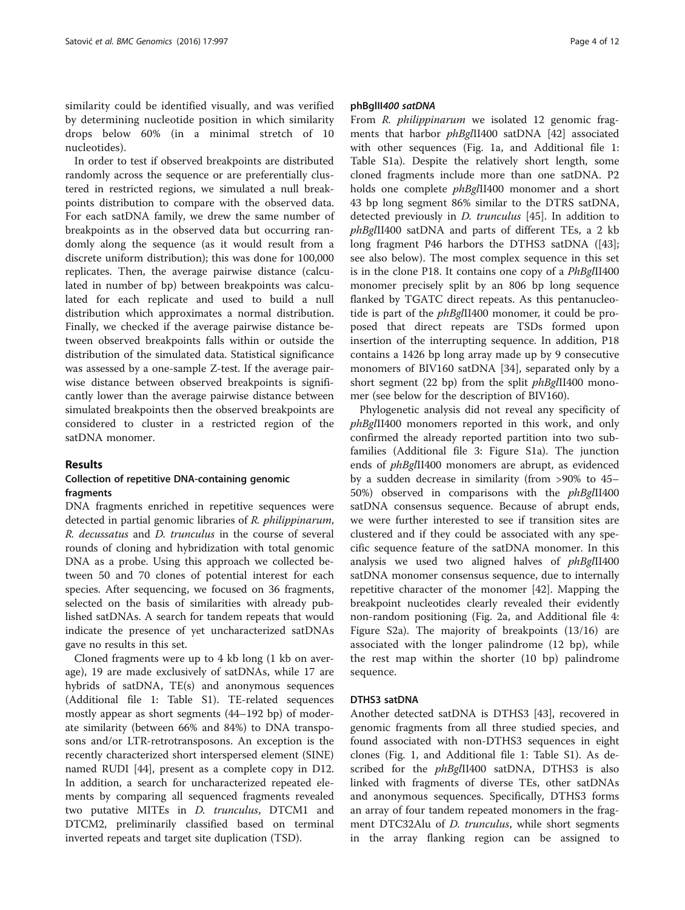similarity could be identified visually, and was verified by determining nucleotide position in which similarity drops below 60% (in a minimal stretch of 10 nucleotides).

In order to test if observed breakpoints are distributed randomly across the sequence or are preferentially clustered in restricted regions, we simulated a null breakpoints distribution to compare with the observed data. For each satDNA family, we drew the same number of breakpoints as in the observed data but occurring randomly along the sequence (as it would result from a discrete uniform distribution); this was done for 100,000 replicates. Then, the average pairwise distance (calculated in number of bp) between breakpoints was calculated for each replicate and used to build a null distribution which approximates a normal distribution. Finally, we checked if the average pairwise distance between observed breakpoints falls within or outside the distribution of the simulated data. Statistical significance was assessed by a one-sample Z-test. If the average pairwise distance between observed breakpoints is significantly lower than the average pairwise distance between simulated breakpoints then the observed breakpoints are considered to cluster in a restricted region of the satDNA monomer.

# Results

# Collection of repetitive DNA-containing genomic fragments

DNA fragments enriched in repetitive sequences were detected in partial genomic libraries of R. philippinarum, R. decussatus and D. trunculus in the course of several rounds of cloning and hybridization with total genomic DNA as a probe. Using this approach we collected between 50 and 70 clones of potential interest for each species. After sequencing, we focused on 36 fragments, selected on the basis of similarities with already published satDNAs. A search for tandem repeats that would indicate the presence of yet uncharacterized satDNAs gave no results in this set.

Cloned fragments were up to 4 kb long (1 kb on average), 19 are made exclusively of satDNAs, while 17 are hybrids of satDNA, TE(s) and anonymous sequences (Additional file [1:](#page-10-0) Table S1). TE-related sequences mostly appear as short segments (44–192 bp) of moderate similarity (between 66% and 84%) to DNA transposons and/or LTR-retrotransposons. An exception is the recently characterized short interspersed element (SINE) named RUDI [\[44](#page-11-0)], present as a complete copy in D12. In addition, a search for uncharacterized repeated elements by comparing all sequenced fragments revealed two putative MITEs in *D. trunculus*, DTCM1 and DTCM2, preliminarily classified based on terminal inverted repeats and target site duplication (TSD).

#### phBglII400 satDNA

From R. *philippinarum* we isolated 12 genomic fragments that harbor *phBglII400* satDNA [\[42\]](#page-11-0) associated with other sequences (Fig. [1a,](#page-4-0) and Additional file [1](#page-10-0): Table S1a). Despite the relatively short length, some cloned fragments include more than one satDNA. P2 holds one complete *phBglII400* monomer and a short 43 bp long segment 86% similar to the DTRS satDNA, detected previously in D. trunculus [\[45](#page-11-0)]. In addition to phBglII400 satDNA and parts of different TEs, a 2 kb long fragment P46 harbors the DTHS3 satDNA ([\[43](#page-11-0)]; see also below). The most complex sequence in this set is in the clone P18. It contains one copy of a PhBglII400 monomer precisely split by an 806 bp long sequence flanked by TGATC direct repeats. As this pentanucleotide is part of the *phBglII400* monomer, it could be proposed that direct repeats are TSDs formed upon insertion of the interrupting sequence. In addition, P18 contains a 1426 bp long array made up by 9 consecutive monomers of BIV160 satDNA [\[34](#page-11-0)], separated only by a short segment (22 bp) from the split *phBglII400* monomer (see below for the description of BIV160).

Phylogenetic analysis did not reveal any specificity of phBglII400 monomers reported in this work, and only confirmed the already reported partition into two subfamilies (Additional file [3](#page-10-0): Figure S1a). The junction ends of phBglII400 monomers are abrupt, as evidenced by a sudden decrease in similarity (from >90% to 45– 50%) observed in comparisons with the phBglII400 satDNA consensus sequence. Because of abrupt ends, we were further interested to see if transition sites are clustered and if they could be associated with any specific sequence feature of the satDNA monomer. In this analysis we used two aligned halves of phBglII400 satDNA monomer consensus sequence, due to internally repetitive character of the monomer [[42](#page-11-0)]. Mapping the breakpoint nucleotides clearly revealed their evidently non-random positioning (Fig. [2a,](#page-5-0) and Additional file [4](#page-10-0): Figure S2a). The majority of breakpoints (13/16) are associated with the longer palindrome (12 bp), while the rest map within the shorter (10 bp) palindrome sequence.

# DTHS3 satDNA

Another detected satDNA is DTHS3 [\[43](#page-11-0)], recovered in genomic fragments from all three studied species, and found associated with non-DTHS3 sequences in eight clones (Fig. [1,](#page-4-0) and Additional file [1](#page-10-0): Table S1). As described for the *phBglII400* satDNA, DTHS3 is also linked with fragments of diverse TEs, other satDNAs and anonymous sequences. Specifically, DTHS3 forms an array of four tandem repeated monomers in the fragment DTC32Alu of *D. trunculus*, while short segments in the array flanking region can be assigned to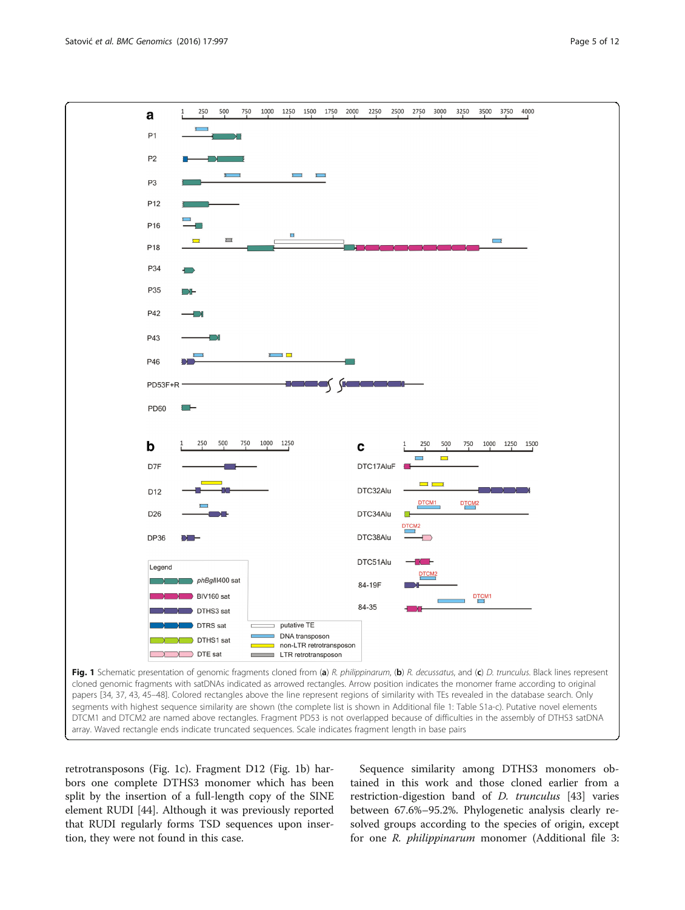<span id="page-4-0"></span>

retrotransposons (Fig. 1c). Fragment D12 (Fig. 1b) harbors one complete DTHS3 monomer which has been split by the insertion of a full-length copy of the SINE element RUDI [[44](#page-11-0)]. Although it was previously reported that RUDI regularly forms TSD sequences upon insertion, they were not found in this case.

Sequence similarity among DTHS3 monomers obtained in this work and those cloned earlier from a restriction-digestion band of D. trunculus [\[43](#page-11-0)] varies between 67.6%–95.2%. Phylogenetic analysis clearly resolved groups according to the species of origin, except for one *R. philippinarum* monomer (Additional file [3](#page-10-0):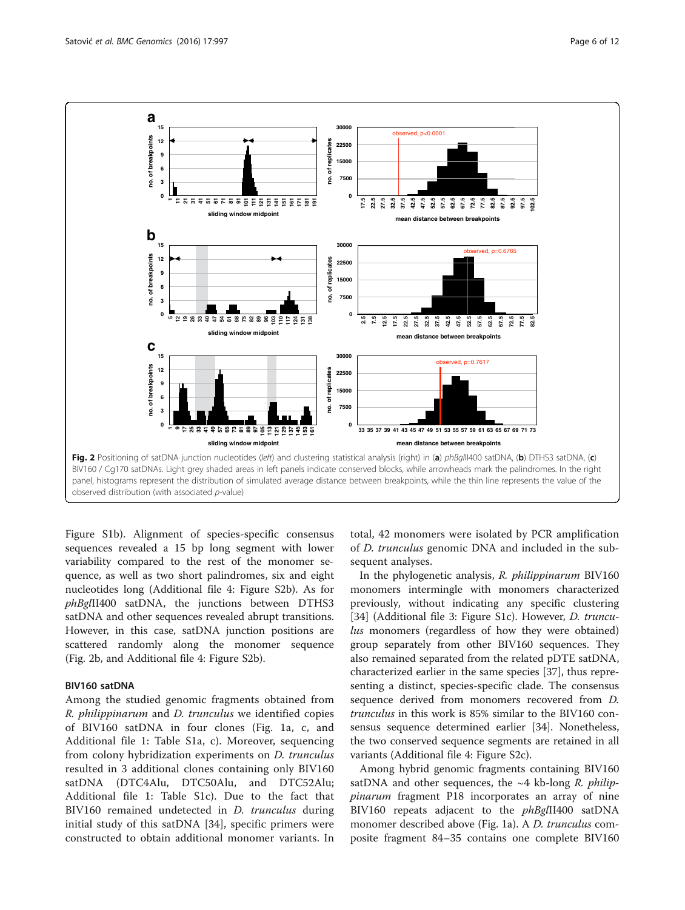<span id="page-5-0"></span>

Figure S1b). Alignment of species-specific consensus sequences revealed a 15 bp long segment with lower variability compared to the rest of the monomer sequence, as well as two short palindromes, six and eight nucleotides long (Additional file [4](#page-10-0): Figure S2b). As for phBglII400 satDNA, the junctions between DTHS3 satDNA and other sequences revealed abrupt transitions. However, in this case, satDNA junction positions are scattered randomly along the monomer sequence (Fig. 2b, and Additional file [4:](#page-10-0) Figure S2b).

# BIV160 satDNA

Among the studied genomic fragments obtained from R. philippinarum and D. trunculus we identified copies of BIV160 satDNA in four clones (Fig. [1a, c,](#page-4-0) and Additional file [1:](#page-10-0) Table S1a, c). Moreover, sequencing from colony hybridization experiments on D. trunculus resulted in 3 additional clones containing only BIV160 satDNA (DTC4Alu, DTC50Alu, and DTC52Alu; Additional file [1](#page-10-0): Table S1c). Due to the fact that BIV160 remained undetected in *D. trunculus* during initial study of this satDNA [\[34](#page-11-0)], specific primers were constructed to obtain additional monomer variants. In

total, 42 monomers were isolated by PCR amplification of D. trunculus genomic DNA and included in the subsequent analyses.

In the phylogenetic analysis, R. philippinarum BIV160 monomers intermingle with monomers characterized previously, without indicating any specific clustering [[34\]](#page-11-0) (Additional file [3](#page-10-0): Figure S1c). However, *D. truncu*lus monomers (regardless of how they were obtained) group separately from other BIV160 sequences. They also remained separated from the related pDTE satDNA, characterized earlier in the same species [\[37\]](#page-11-0), thus representing a distinct, species-specific clade. The consensus sequence derived from monomers recovered from D. trunculus in this work is 85% similar to the BIV160 consensus sequence determined earlier [[34\]](#page-11-0). Nonetheless, the two conserved sequence segments are retained in all variants (Additional file [4](#page-10-0): Figure S2c).

Among hybrid genomic fragments containing BIV160 satDNA and other sequences, the  $~4$  kb-long R. philippinarum fragment P18 incorporates an array of nine BIV160 repeats adjacent to the phBglII400 satDNA monomer described above (Fig. [1a\)](#page-4-0). A *D. trunculus* composite fragment 84–35 contains one complete BIV160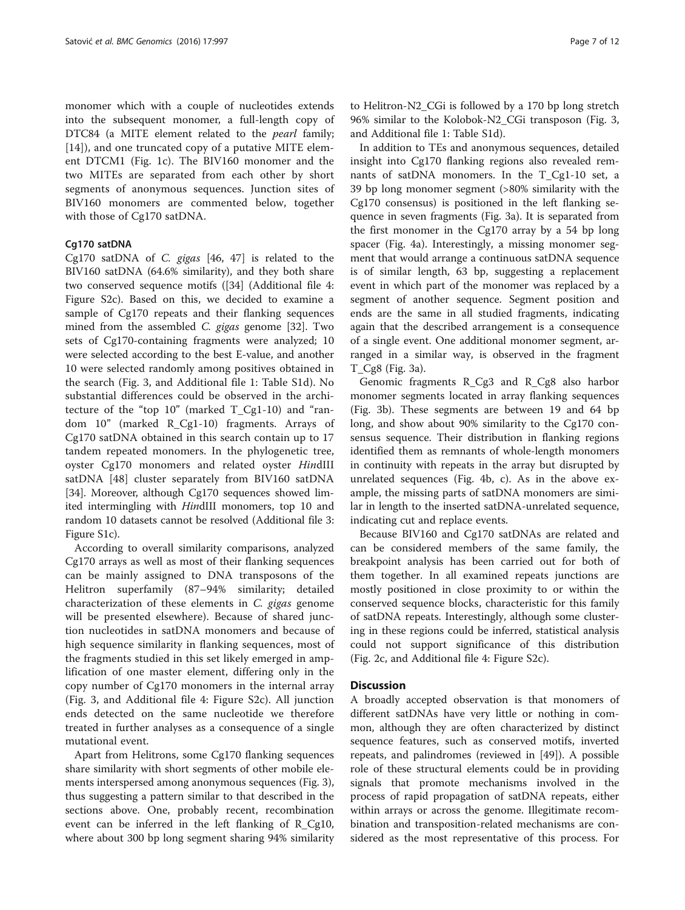monomer which with a couple of nucleotides extends into the subsequent monomer, a full-length copy of DTC84 (a MITE element related to the *pearl* family; [[14\]](#page-11-0)), and one truncated copy of a putative MITE element DTCM1 (Fig. [1c\)](#page-4-0). The BIV160 monomer and the two MITEs are separated from each other by short segments of anonymous sequences. Junction sites of BIV160 monomers are commented below, together with those of Cg170 satDNA.

# Cg170 satDNA

Cg170 satDNA of C. gigas [[46, 47](#page-11-0)] is related to the BIV160 satDNA (64.6% similarity), and they both share two conserved sequence motifs ([\[34](#page-11-0)] (Additional file [4](#page-10-0): Figure S2c). Based on this, we decided to examine a sample of Cg170 repeats and their flanking sequences mined from the assembled C. gigas genome [\[32](#page-11-0)]. Two sets of Cg170-containing fragments were analyzed; 10 were selected according to the best E-value, and another 10 were selected randomly among positives obtained in the search (Fig. [3](#page-7-0), and Additional file [1](#page-10-0): Table S1d). No substantial differences could be observed in the architecture of the "top  $10$ " (marked  $T_{Cg1-10}$ ) and "random 10" (marked R\_Cg1-10) fragments. Arrays of Cg170 satDNA obtained in this search contain up to 17 tandem repeated monomers. In the phylogenetic tree, oyster Cg170 monomers and related oyster HindIII satDNA [\[48](#page-11-0)] cluster separately from BIV160 satDNA [[34\]](#page-11-0). Moreover, although Cg170 sequences showed limited intermingling with HindIII monomers, top 10 and random 10 datasets cannot be resolved (Additional file [3](#page-10-0): Figure S1c).

According to overall similarity comparisons, analyzed Cg170 arrays as well as most of their flanking sequences can be mainly assigned to DNA transposons of the Helitron superfamily (87–94% similarity; detailed characterization of these elements in C. gigas genome will be presented elsewhere). Because of shared junction nucleotides in satDNA monomers and because of high sequence similarity in flanking sequences, most of the fragments studied in this set likely emerged in amplification of one master element, differing only in the copy number of Cg170 monomers in the internal array (Fig. [3,](#page-7-0) and Additional file [4](#page-10-0): Figure S2c). All junction ends detected on the same nucleotide we therefore treated in further analyses as a consequence of a single mutational event.

Apart from Helitrons, some Cg170 flanking sequences share similarity with short segments of other mobile elements interspersed among anonymous sequences (Fig. [3](#page-7-0)), thus suggesting a pattern similar to that described in the sections above. One, probably recent, recombination event can be inferred in the left flanking of R\_Cg10, where about 300 bp long segment sharing 94% similarity

to Helitron-N2\_CGi is followed by a 170 bp long stretch 96% similar to the Kolobok-N2\_CGi transposon (Fig. [3](#page-7-0), and Additional file [1:](#page-10-0) Table S1d).

In addition to TEs and anonymous sequences, detailed insight into Cg170 flanking regions also revealed remnants of satDNA monomers. In the T\_Cg1-10 set, a 39 bp long monomer segment (>80% similarity with the Cg170 consensus) is positioned in the left flanking sequence in seven fragments (Fig. [3a\)](#page-7-0). It is separated from the first monomer in the Cg170 array by a 54 bp long spacer (Fig. [4a](#page-8-0)). Interestingly, a missing monomer segment that would arrange a continuous satDNA sequence is of similar length, 63 bp, suggesting a replacement event in which part of the monomer was replaced by a segment of another sequence. Segment position and ends are the same in all studied fragments, indicating again that the described arrangement is a consequence of a single event. One additional monomer segment, arranged in a similar way, is observed in the fragment T\_Cg8 (Fig. [3a](#page-7-0)).

Genomic fragments R\_Cg3 and R\_Cg8 also harbor monomer segments located in array flanking sequences (Fig. [3b\)](#page-7-0). These segments are between 19 and 64 bp long, and show about 90% similarity to the Cg170 consensus sequence. Their distribution in flanking regions identified them as remnants of whole-length monomers in continuity with repeats in the array but disrupted by unrelated sequences (Fig. [4b, c](#page-8-0)). As in the above example, the missing parts of satDNA monomers are similar in length to the inserted satDNA-unrelated sequence, indicating cut and replace events.

Because BIV160 and Cg170 satDNAs are related and can be considered members of the same family, the breakpoint analysis has been carried out for both of them together. In all examined repeats junctions are mostly positioned in close proximity to or within the conserved sequence blocks, characteristic for this family of satDNA repeats. Interestingly, although some clustering in these regions could be inferred, statistical analysis could not support significance of this distribution (Fig. [2c,](#page-5-0) and Additional file [4](#page-10-0): Figure S2c).

# **Discussion**

A broadly accepted observation is that monomers of different satDNAs have very little or nothing in common, although they are often characterized by distinct sequence features, such as conserved motifs, inverted repeats, and palindromes (reviewed in [[49](#page-11-0)]). A possible role of these structural elements could be in providing signals that promote mechanisms involved in the process of rapid propagation of satDNA repeats, either within arrays or across the genome. Illegitimate recombination and transposition-related mechanisms are considered as the most representative of this process. For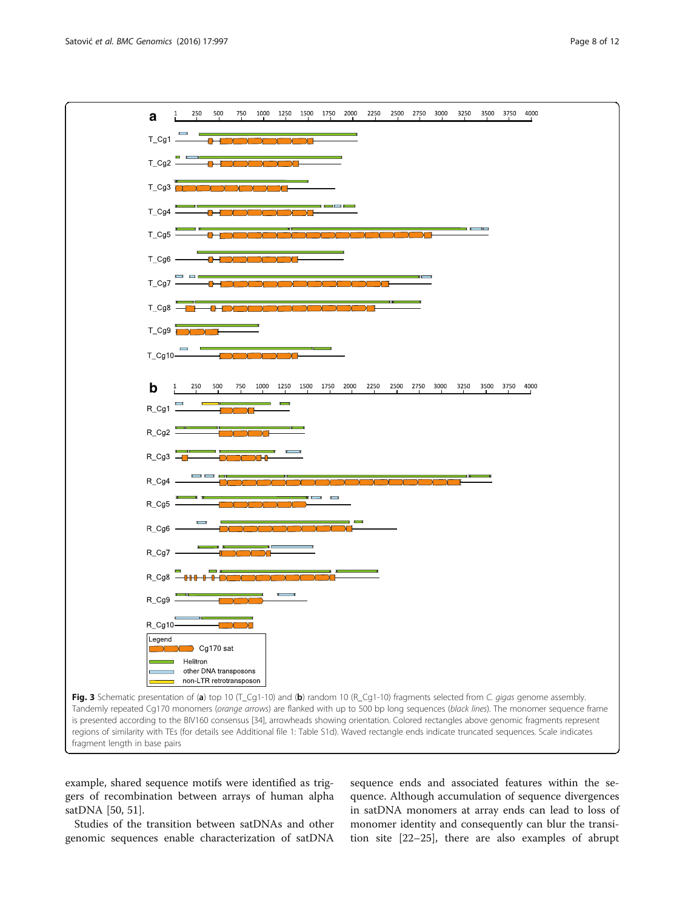<span id="page-7-0"></span>

example, shared sequence motifs were identified as triggers of recombination between arrays of human alpha satDNA [[50, 51](#page-11-0)].

Studies of the transition between satDNAs and other genomic sequences enable characterization of satDNA

sequence ends and associated features within the sequence. Although accumulation of sequence divergences in satDNA monomers at array ends can lead to loss of monomer identity and consequently can blur the transition site [\[22](#page-11-0)–[25\]](#page-11-0), there are also examples of abrupt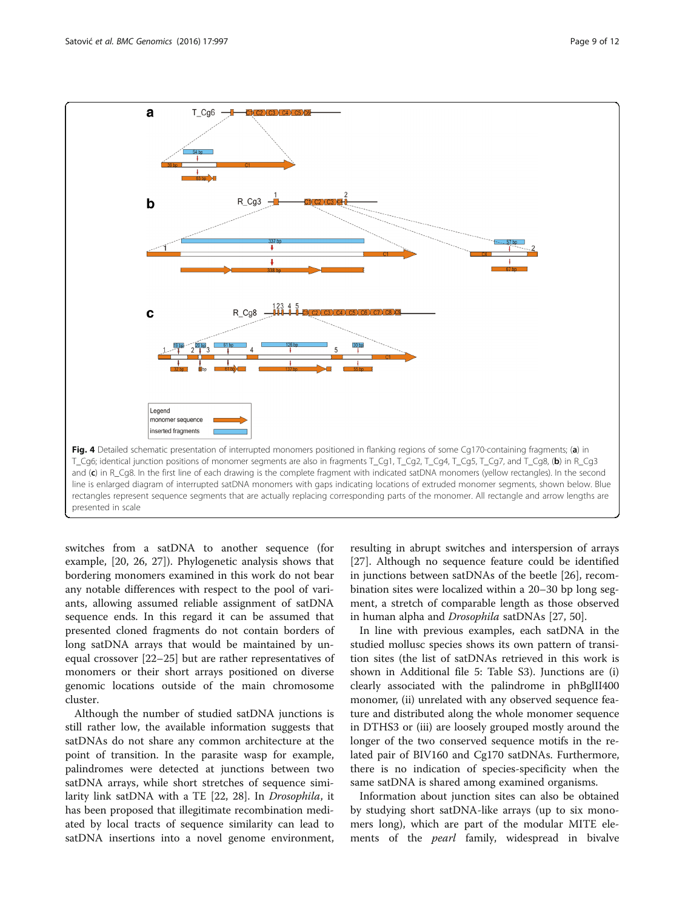<span id="page-8-0"></span>

switches from a satDNA to another sequence (for example, [[20, 26, 27\]](#page-11-0)). Phylogenetic analysis shows that bordering monomers examined in this work do not bear any notable differences with respect to the pool of variants, allowing assumed reliable assignment of satDNA sequence ends. In this regard it can be assumed that presented cloned fragments do not contain borders of long satDNA arrays that would be maintained by unequal crossover [\[22](#page-11-0)–[25](#page-11-0)] but are rather representatives of monomers or their short arrays positioned on diverse genomic locations outside of the main chromosome cluster.

Although the number of studied satDNA junctions is still rather low, the available information suggests that satDNAs do not share any common architecture at the point of transition. In the parasite wasp for example, palindromes were detected at junctions between two satDNA arrays, while short stretches of sequence similarity link satDNA with a TE [\[22](#page-11-0), [28](#page-11-0)]. In Drosophila, it has been proposed that illegitimate recombination mediated by local tracts of sequence similarity can lead to satDNA insertions into a novel genome environment,

resulting in abrupt switches and interspersion of arrays [[27\]](#page-11-0). Although no sequence feature could be identified in junctions between satDNAs of the beetle [[26\]](#page-11-0), recombination sites were localized within a 20–30 bp long segment, a stretch of comparable length as those observed in human alpha and Drosophila satDNAs [\[27](#page-11-0), [50](#page-11-0)].

In line with previous examples, each satDNA in the studied mollusc species shows its own pattern of transition sites (the list of satDNAs retrieved in this work is shown in Additional file [5](#page-10-0): Table S3). Junctions are (i) clearly associated with the palindrome in phBglII400 monomer, (ii) unrelated with any observed sequence feature and distributed along the whole monomer sequence in DTHS3 or (iii) are loosely grouped mostly around the longer of the two conserved sequence motifs in the related pair of BIV160 and Cg170 satDNAs. Furthermore, there is no indication of species-specificity when the same satDNA is shared among examined organisms.

Information about junction sites can also be obtained by studying short satDNA-like arrays (up to six monomers long), which are part of the modular MITE elements of the *pearl* family, widespread in bivalve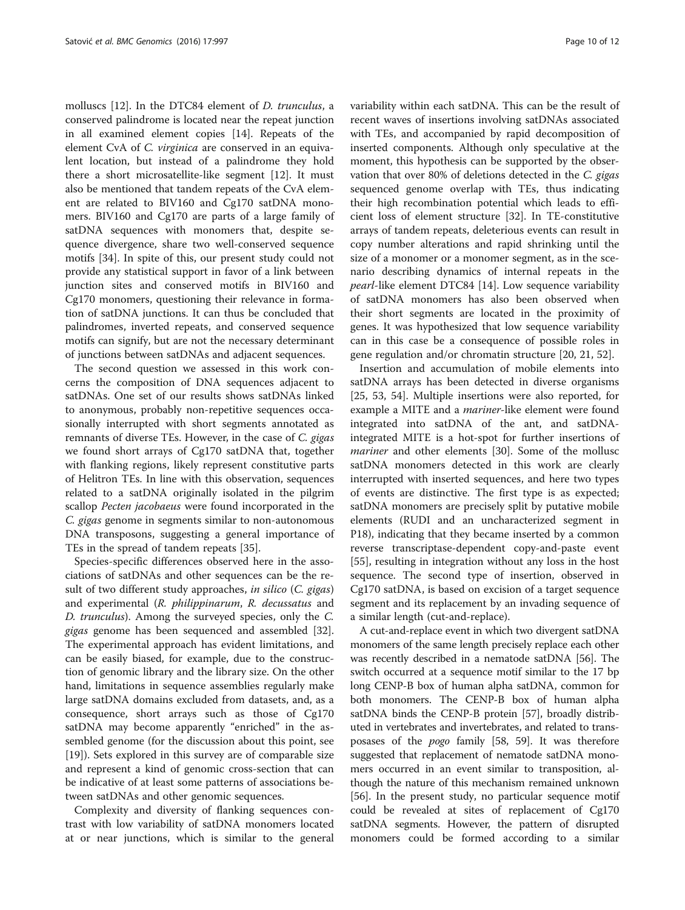molluscs [\[12](#page-11-0)]. In the DTC84 element of D. trunculus, a conserved palindrome is located near the repeat junction in all examined element copies [[14\]](#page-11-0). Repeats of the element CvA of *C. virginica* are conserved in an equivalent location, but instead of a palindrome they hold there a short microsatellite-like segment [\[12](#page-11-0)]. It must also be mentioned that tandem repeats of the CvA element are related to BIV160 and Cg170 satDNA monomers. BIV160 and Cg170 are parts of a large family of satDNA sequences with monomers that, despite sequence divergence, share two well-conserved sequence motifs [[34\]](#page-11-0). In spite of this, our present study could not provide any statistical support in favor of a link between junction sites and conserved motifs in BIV160 and Cg170 monomers, questioning their relevance in formation of satDNA junctions. It can thus be concluded that palindromes, inverted repeats, and conserved sequence motifs can signify, but are not the necessary determinant of junctions between satDNAs and adjacent sequences.

The second question we assessed in this work concerns the composition of DNA sequences adjacent to satDNAs. One set of our results shows satDNAs linked to anonymous, probably non-repetitive sequences occasionally interrupted with short segments annotated as remnants of diverse TEs. However, in the case of C. gigas we found short arrays of Cg170 satDNA that, together with flanking regions, likely represent constitutive parts of Helitron TEs. In line with this observation, sequences related to a satDNA originally isolated in the pilgrim scallop Pecten jacobaeus were found incorporated in the C. gigas genome in segments similar to non-autonomous DNA transposons, suggesting a general importance of TEs in the spread of tandem repeats [[35\]](#page-11-0).

Species-specific differences observed here in the associations of satDNAs and other sequences can be the result of two different study approaches, in silico (C. gigas) and experimental (R. philippinarum, R. decussatus and D. trunculus). Among the surveyed species, only the C. gigas genome has been sequenced and assembled [\[32](#page-11-0)]. The experimental approach has evident limitations, and can be easily biased, for example, due to the construction of genomic library and the library size. On the other hand, limitations in sequence assemblies regularly make large satDNA domains excluded from datasets, and, as a consequence, short arrays such as those of Cg170 satDNA may become apparently "enriched" in the assembled genome (for the discussion about this point, see [[19\]](#page-11-0)). Sets explored in this survey are of comparable size and represent a kind of genomic cross-section that can be indicative of at least some patterns of associations between satDNAs and other genomic sequences.

Complexity and diversity of flanking sequences contrast with low variability of satDNA monomers located at or near junctions, which is similar to the general variability within each satDNA. This can be the result of recent waves of insertions involving satDNAs associated with TEs, and accompanied by rapid decomposition of inserted components. Although only speculative at the moment, this hypothesis can be supported by the observation that over 80% of deletions detected in the C. gigas sequenced genome overlap with TEs, thus indicating their high recombination potential which leads to efficient loss of element structure [[32\]](#page-11-0). In TE-constitutive arrays of tandem repeats, deleterious events can result in copy number alterations and rapid shrinking until the size of a monomer or a monomer segment, as in the scenario describing dynamics of internal repeats in the pearl-like element DTC84 [[14\]](#page-11-0). Low sequence variability of satDNA monomers has also been observed when their short segments are located in the proximity of genes. It was hypothesized that low sequence variability can in this case be a consequence of possible roles in gene regulation and/or chromatin structure [\[20](#page-11-0), [21](#page-11-0), [52\]](#page-11-0).

Insertion and accumulation of mobile elements into satDNA arrays has been detected in diverse organisms [[25, 53, 54\]](#page-11-0). Multiple insertions were also reported, for example a MITE and a *mariner*-like element were found integrated into satDNA of the ant, and satDNAintegrated MITE is a hot-spot for further insertions of mariner and other elements [[30\]](#page-11-0). Some of the mollusc satDNA monomers detected in this work are clearly interrupted with inserted sequences, and here two types of events are distinctive. The first type is as expected; satDNA monomers are precisely split by putative mobile elements (RUDI and an uncharacterized segment in P18), indicating that they became inserted by a common reverse transcriptase-dependent copy-and-paste event [[55\]](#page-11-0), resulting in integration without any loss in the host sequence. The second type of insertion, observed in Cg170 satDNA, is based on excision of a target sequence segment and its replacement by an invading sequence of a similar length (cut-and-replace).

A cut-and-replace event in which two divergent satDNA monomers of the same length precisely replace each other was recently described in a nematode satDNA [[56\]](#page-11-0). The switch occurred at a sequence motif similar to the 17 bp long CENP-B box of human alpha satDNA, common for both monomers. The CENP-B box of human alpha satDNA binds the CENP-B protein [\[57\]](#page-11-0), broadly distributed in vertebrates and invertebrates, and related to transposases of the pogo family [[58](#page-11-0), [59](#page-11-0)]. It was therefore suggested that replacement of nematode satDNA monomers occurred in an event similar to transposition, although the nature of this mechanism remained unknown [[56](#page-11-0)]. In the present study, no particular sequence motif could be revealed at sites of replacement of Cg170 satDNA segments. However, the pattern of disrupted monomers could be formed according to a similar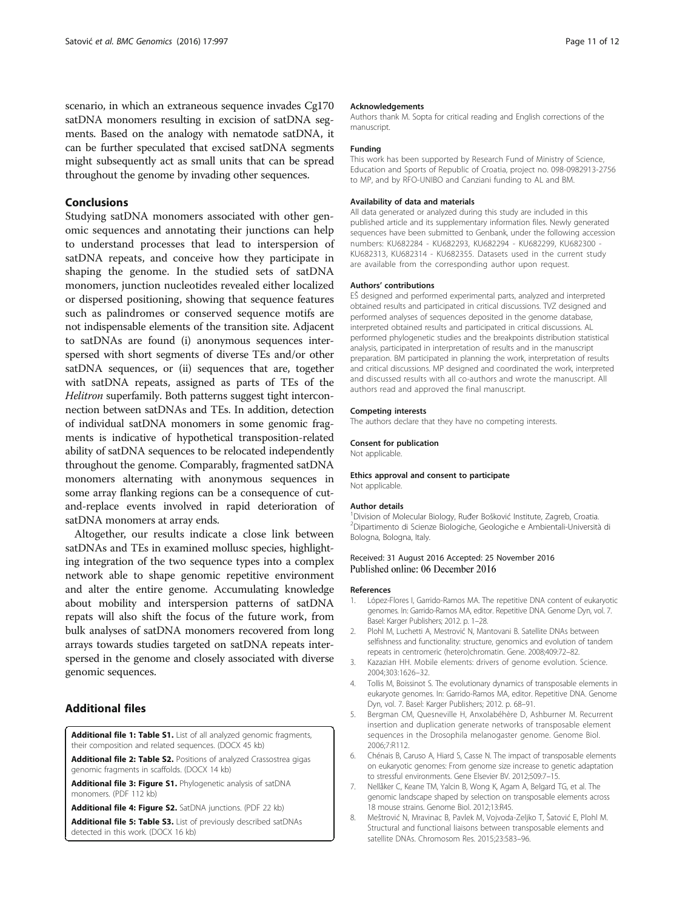<span id="page-10-0"></span>scenario, in which an extraneous sequence invades Cg170 satDNA monomers resulting in excision of satDNA segments. Based on the analogy with nematode satDNA, it can be further speculated that excised satDNA segments might subsequently act as small units that can be spread throughout the genome by invading other sequences.

# Conclusions

Studying satDNA monomers associated with other genomic sequences and annotating their junctions can help to understand processes that lead to interspersion of satDNA repeats, and conceive how they participate in shaping the genome. In the studied sets of satDNA monomers, junction nucleotides revealed either localized or dispersed positioning, showing that sequence features such as palindromes or conserved sequence motifs are not indispensable elements of the transition site. Adjacent to satDNAs are found (i) anonymous sequences interspersed with short segments of diverse TEs and/or other satDNA sequences, or (ii) sequences that are, together with satDNA repeats, assigned as parts of TEs of the Helitron superfamily. Both patterns suggest tight interconnection between satDNAs and TEs. In addition, detection of individual satDNA monomers in some genomic fragments is indicative of hypothetical transposition-related ability of satDNA sequences to be relocated independently throughout the genome. Comparably, fragmented satDNA monomers alternating with anonymous sequences in some array flanking regions can be a consequence of cutand-replace events involved in rapid deterioration of satDNA monomers at array ends.

Altogether, our results indicate a close link between satDNAs and TEs in examined mollusc species, highlighting integration of the two sequence types into a complex network able to shape genomic repetitive environment and alter the entire genome. Accumulating knowledge about mobility and interspersion patterns of satDNA repats will also shift the focus of the future work, from bulk analyses of satDNA monomers recovered from long arrays towards studies targeted on satDNA repeats interspersed in the genome and closely associated with diverse genomic sequences.

# Additional files

[Additional file 1: Table S1.](dx.doi.org/10.1186/s12864-016-3347-1) List of all analyzed genomic fragments, their composition and related sequences. (DOCX 45 kb)

[Additional file 2: Table S2.](dx.doi.org/10.1186/s12864-016-3347-1) Positions of analyzed Crassostrea gigas genomic fragments in scaffolds. (DOCX 14 kb)

[Additional file 3: Figure S1.](dx.doi.org/10.1186/s12864-016-3347-1) Phylogenetic analysis of satDNA monomers. (PDF 112 kb)

[Additional file 4: Figure S2.](dx.doi.org/10.1186/s12864-016-3347-1) SatDNA junctions. (PDF 22 kb)

[Additional file 5: Table S3.](dx.doi.org/10.1186/s12864-016-3347-1) List of previously described satDNAs detected in this work. (DOCX 16 kb)

#### Acknowledgements

Authors thank M. Sopta for critical reading and English corrections of the manuscript.

#### Funding

This work has been supported by Research Fund of Ministry of Science, Education and Sports of Republic of Croatia, project no. 098-0982913-2756 to MP, and by RFO-UNIBO and Canziani funding to AL and BM.

#### Availability of data and materials

All data generated or analyzed during this study are included in this published article and its supplementary information files. Newly generated sequences have been submitted to Genbank, under the following accession numbers: KU682284 - KU682293, KU682294 - KU682299, KU682300 - KU682313, KU682314 - KU682355. Datasets used in the current study are available from the corresponding author upon request.

#### Authors' contributions

EŠ designed and performed experimental parts, analyzed and interpreted obtained results and participated in critical discussions. TVZ designed and performed analyses of sequences deposited in the genome database, interpreted obtained results and participated in critical discussions. AL performed phylogenetic studies and the breakpoints distribution statistical analysis, participated in interpretation of results and in the manuscript preparation. BM participated in planning the work, interpretation of results and critical discussions. MP designed and coordinated the work, interpreted and discussed results with all co-authors and wrote the manuscript. All authors read and approved the final manuscript.

#### Competing interests

The authors declare that they have no competing interests.

#### Consent for publication

Not applicable.

#### Ethics approval and consent to participate Not applicable.

#### Author details

<sup>1</sup> Division of Molecular Biology, Ruđer Bošković Institute, Zagreb, Croatia.<br><sup>2</sup> Dipartimento di Scienze Biologiche Goologiche e Ambientali Universit <sup>2</sup>Dipartimento di Scienze Biologiche, Geologiche e Ambientali-Università di Bologna, Bologna, Italy.

#### Received: 31 August 2016 Accepted: 25 November 2016 Published online: 06 December 2016

#### References

- 1. López-Flores I, Garrido-Ramos MA. The repetitive DNA content of eukaryotic genomes. In: Garrido-Ramos MA, editor. Repetitive DNA. Genome Dyn, vol. 7. Basel: Karger Publishers; 2012. p. 1–28.
- 2. Plohl M, Luchetti A, Mestrović N, Mantovani B. Satellite DNAs between selfishness and functionality: structure, genomics and evolution of tandem repeats in centromeric (hetero)chromatin. Gene. 2008;409:72–82.
- 3. Kazazian HH. Mobile elements: drivers of genome evolution. Science. 2004;303:1626–32.
- 4. Tollis M, Boissinot S. The evolutionary dynamics of transposable elements in eukaryote genomes. In: Garrido-Ramos MA, editor. Repetitive DNA. Genome Dyn, vol. 7. Basel: Karger Publishers; 2012. p. 68–91.
- 5. Bergman CM, Quesneville H, Anxolabéhère D, Ashburner M. Recurrent insertion and duplication generate networks of transposable element sequences in the Drosophila melanogaster genome. Genome Biol. 2006;7:R112.
- 6. Chénais B, Caruso A, Hiard S, Casse N. The impact of transposable elements on eukaryotic genomes: From genome size increase to genetic adaptation to stressful environments. Gene Elsevier BV. 2012;509:7–15.
- 7. Nellåker C, Keane TM, Yalcin B, Wong K, Agam A, Belgard TG, et al. The genomic landscape shaped by selection on transposable elements across 18 mouse strains. Genome Biol. 2012;13:R45.
- 8. Meštrović N, Mravinac B, Pavlek M, Vojvoda-Zeljko T, Šatović E, Plohl M. Structural and functional liaisons between transposable elements and satellite DNAs. Chromosom Res. 2015;23:583–96.